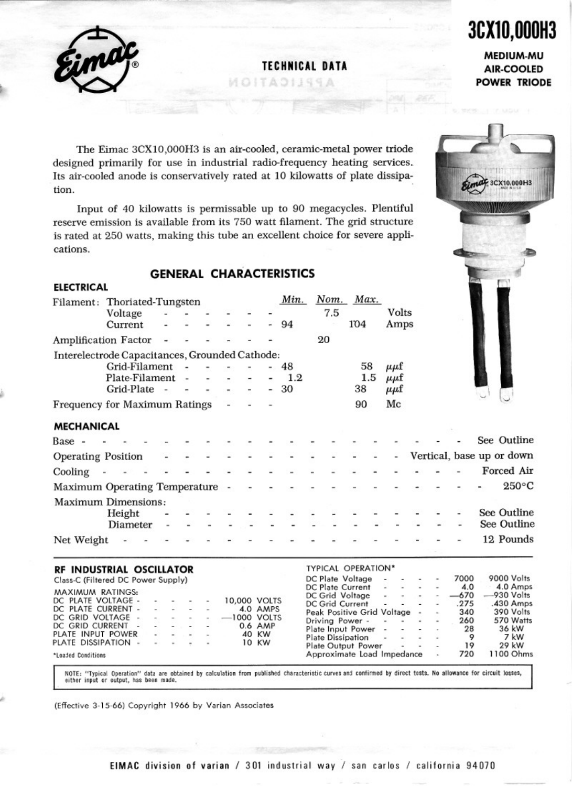**TECHNICAlDATA**

MOITADIJSSA



# **3C110,000H3 MEDIUM-MU**

**AIR-COOLED POWER TRIODE**

3CX10,000H3

..

r

The Eirnac 3CXI0,000H3 is an air-cooled, ceramic-metal power triode designed primarily for use in industrial radio-frequency heating services. Its air-cooled anode is conservatively rated at 10 kilowatts of plate dissipation.

Input of 40 kilowatts is permlssable up to 90 megacycles. Plentiful reserve emission is available from its 750 watt filament. The grid structure is rated at 250 watts, making this tube an excellent choice for severe applications.

### **GENERAL CHARACTERISTICS**

| <b>ELECTRICAL</b>                       |                                                    |                          |                          |  |                           |            |                                          |                          |                          |                            |  |             |                           |
|-----------------------------------------|----------------------------------------------------|--------------------------|--------------------------|--|---------------------------|------------|------------------------------------------|--------------------------|--------------------------|----------------------------|--|-------------|---------------------------|
|                                         | Filament: Thoriated-Tungsten<br>Voltage<br>Current |                          |                          |  |                           | Min.<br>94 | Nom. Max.<br>7.5                         | 104                      |                          | Volts                      |  |             |                           |
|                                         |                                                    |                          |                          |  |                           |            |                                          |                          |                          | Amps                       |  |             |                           |
|                                         | Amplification Factor                               |                          |                          |  |                           |            | 20                                       |                          |                          |                            |  |             |                           |
|                                         | Interelectrode Capacitances, Grounded Cathode:     |                          |                          |  |                           |            |                                          |                          |                          |                            |  |             |                           |
|                                         | Grid-Filament                                      |                          | $\overline{\phantom{a}}$ |  |                           | 48         |                                          |                          | 58                       | $\mu\mu$ f                 |  |             |                           |
|                                         | Plate-Filament -                                   |                          |                          |  |                           | 1.2        |                                          |                          | 1.5                      | $\mu\mu$ f                 |  |             |                           |
|                                         | Grid-Plate                                         | $\overline{\phantom{a}}$ |                          |  |                           | 30         |                                          | 38                       |                          | $\mu\mu$ f                 |  |             |                           |
|                                         | Frequency for Maximum Ratings                      |                          |                          |  |                           |            |                                          | 90                       |                          | Mc                         |  |             |                           |
| <b>MECHANICAL</b>                       |                                                    |                          |                          |  |                           |            |                                          |                          |                          |                            |  |             |                           |
| Base -                                  |                                                    |                          |                          |  |                           |            |                                          |                          |                          |                            |  |             | See Outline               |
| <b>Operating Position</b>               |                                                    |                          |                          |  | Ξ                         | $\sim$     |                                          | $\overline{\phantom{a}}$ | $\overline{\phantom{a}}$ | $\blacksquare$             |  |             | Vertical, base up or down |
| Cooling<br>$\sim$                       |                                                    |                          |                          |  |                           |            |                                          |                          |                          |                            |  |             | Forced Air                |
|                                         | Maximum Operating Temperature -                    |                          |                          |  |                           |            |                                          |                          |                          |                            |  |             | $250^{\circ}$ C           |
|                                         | Maximum Dimensions:                                |                          |                          |  |                           |            |                                          |                          |                          |                            |  |             |                           |
|                                         | Height                                             |                          |                          |  |                           |            |                                          |                          |                          |                            |  |             | See Outline               |
|                                         | Diameter                                           |                          |                          |  |                           |            |                                          |                          |                          |                            |  |             | See Outline               |
| Net Weight                              |                                                    |                          |                          |  |                           |            |                                          |                          |                          |                            |  |             | 12 Pounds                 |
|                                         | RF INDUSTRIAL OSCILLATOR                           |                          |                          |  |                           |            | <b>TYPICAL OPERATION*</b>                |                          |                          |                            |  |             |                           |
|                                         | Class-C (Filtered DC Power Supply)                 |                          |                          |  |                           |            | DC Plate Voltage<br>DC Plate Current     |                          |                          |                            |  | 7000<br>4.0 | 9000 Volts<br>4.0 Amps    |
| MAXIMUM RATINGS:                        |                                                    |                          |                          |  |                           |            | DC Grid Voltage                          |                          |                          |                            |  | $-670$      | -930 Volts                |
| DC PLATE VOLTAGE -                      |                                                    |                          |                          |  | 10,000 VOLTS              |            | DC Grid Current                          |                          |                          |                            |  | .275        | .430 Amps                 |
| DC PLATE CURRENT -<br>DC GRID VOLTAGE - |                                                    |                          | and the<br>$\sim$        |  | 4.0 AMPS<br>$-1000$ VOLTS |            |                                          |                          |                          | Peak Positive Grid Voltage |  | 340         | 390 Volts                 |
| DC GRID CURRENT -                       |                                                    |                          |                          |  | 0.6 AMP                   |            | Driving Power -                          |                          |                          |                            |  | 260         | 570 Watts                 |
| PLATE INPUT POWER                       |                                                    |                          | . .                      |  | 40 KW                     |            | Plate Input Power -<br>Plate Dissipation |                          |                          |                            |  | 28<br>9     | 36 kW<br>7 kW             |
| PLATE DISSIPATION                       |                                                    |                          |                          |  | 10 KW                     |            | Plate Output Power                       |                          |                          |                            |  | 19          | 29 kW                     |
| *Loaded Conditions                      |                                                    |                          |                          |  |                           |            |                                          |                          |                          | Approximate Load Impedance |  | 720         | 1100 Ohms                 |

NOTE: "Typical Operation" data are obtained by calculation from published characteristic curves and confirmed by direct tests. No allowance for circuit losses,<br>either input or output, has been made.

**(Effective 3-15-66) Copyright 1966 by Varian Associates**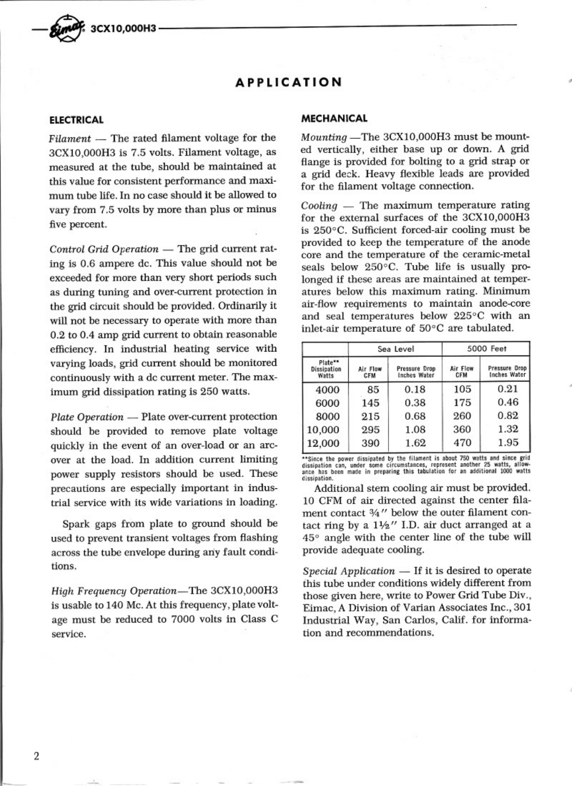

## **APPLICATION**

-

#### **ELECTRICAL**

*Filament* — The rated filament voltage for the 3CX10,000H3 is 7.5 volts. Filament voltage, as measured at the tube, should be maintained at this value for consistent performance and maximum tube life. In no case should it be allowed to vary from 7.5 volts by more than plus or minus five percent.

*Control Grid Operation* - The grid current rating is 0.6 ampere dc. This value should not be exceeded for more than very short periods such as during tuning and over-current protection in the grid circuit should be provided. Ordinarily it will not be necessary to operate with more than 0.2 to 0.4 amp grid current to obtain reasonable efficiency. In industrial heating service with varying loads, grid current should be monitored continuously with a dc current meter. The maximum grid dissipation rating is 250 watts.

*Plate Operation* - Plate over-current protection should be provided to remove plate voltage quickly in the event of an over-load or an arcover at the load. In addition current limiting power supply resistors should be used. These precautions are especially important in industrial service with its wide variations in loading.

Spark gaps from plate to ground should be used to prevent transient voltages from flashing across the tube envelope during ariy fault conditions.

*High Frequency* Operation-The 3CXI0,OOOH3 is usable to 140 Mc. At this frequency, plate voltage must be reduced to 7000 volts in Class C service.

#### **MECHANICAL**

*Mounting* -The 3CX10,000H3 must be mounted vertically, either base up or down. A grid flange is provided for bolting to a grid strap or a grid deck. Heavy flexible leads are provided for the filament voltage connection.

.

*Cooling* — The maximum temperature rating for the external surfaces of the 3CXI0,OOOH3 is 250°C. Sufficient forced-air cooling must be provided to keep the temperature of the anode core and the temperature of the ceramic-metal seals below 250°C. Tube life is usually prolonged if these areas are maintained at temperatures below this maximum rating. Minimum air-flow requirements to maintain anode-core and seal temperatures below 225°C with an inlet-air temperature of 50°C are tabulated.

|                                 |                        | Sea Level                            | 5000 Feet       |                                      |  |  |  |
|---------------------------------|------------------------|--------------------------------------|-----------------|--------------------------------------|--|--|--|
| Plate**<br>Dissipation<br>Watts | Air Flow<br><b>CFM</b> | Pressure Drop<br><b>Inches Water</b> | Air Flow<br>CFM | Pressure Drop<br><b>Inches Water</b> |  |  |  |
| 4000                            | 85                     | 0.18                                 | 105             | 0.21                                 |  |  |  |
| 6000                            | 145                    | 0.38                                 | 175             | 0.46                                 |  |  |  |
| 8000                            | 215                    | 0.68                                 | 260             | 0.82                                 |  |  |  |
| 10,000                          | 295                    | 1.08                                 | 360             | 1.32                                 |  |  |  |
| 12,000                          | 390                    | 1.62                                 | 470             | 1.95                                 |  |  |  |

\*\*Since the power dissipated by the filament is about 750 watts and since grid<br>dissipation can, under some circumstances, represent another 25 watts, allow-<br>ance has been made in preparing this tabulation for an additional **dissipation.**

Additional stem cooling air must be provided. 10 CFM of air directed against the center filament contact  $\frac{3}{4}$ " below the outer filament contact ring by a  $1\frac{1}{2}$ " I.D. air duct arranged at a *45°* angle with the center line of the tube will provide adequate cooling.

*Special Application* — If it is desired to operate this tube under conditions widely different from those given here, write to Power Grid Tube Div., Eirnac, A Division of Varian Associates Inc., 301 Industrial Way, San Carlos, Calif. for information and recommendations.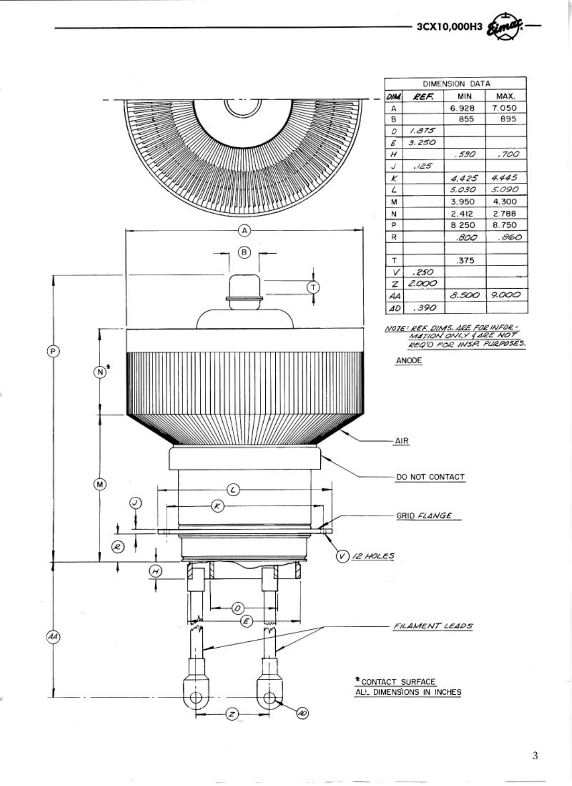